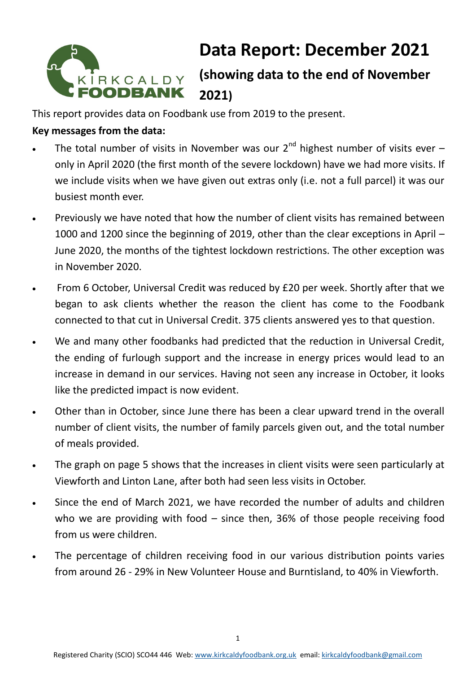

# **Data Report: December 2021**

# **(showing data to the end of November 2021)**

This report provides data on Foodbank use from 2019 to the present.

# **Key messages from the data:**

- The total number of visits in November was our  $2^{nd}$  highest number of visits ever only in April 2020 (the first month of the severe lockdown) have we had more visits. If we include visits when we have given out extras only (i.e. not a full parcel) it was our busiest month ever.
- Previously we have noted that how the number of client visits has remained between 1000 and 1200 since the beginning of 2019, other than the clear exceptions in April – June 2020, the months of the tightest lockdown restrictions. The other exception was in November 2020.
- From 6 October, Universal Credit was reduced by £20 per week. Shortly after that we began to ask clients whether the reason the client has come to the Foodbank connected to that cut in Universal Credit. 375 clients answered yes to that question.
- We and many other foodbanks had predicted that the reduction in Universal Credit, the ending of furlough support and the increase in energy prices would lead to an increase in demand in our services. Having not seen any increase in October, it looks like the predicted impact is now evident.
- Other than in October, since June there has been a clear upward trend in the overall number of client visits, the number of family parcels given out, and the total number of meals provided.
- The graph on page 5 shows that the increases in client visits were seen particularly at Viewforth and Linton Lane, after both had seen less visits in October.
- Since the end of March 2021, we have recorded the number of adults and children who we are providing with food – since then, 36% of those people receiving food from us were children.
- The percentage of children receiving food in our various distribution points varies from around 26 - 29% in New Volunteer House and Burntisland, to 40% in Viewforth.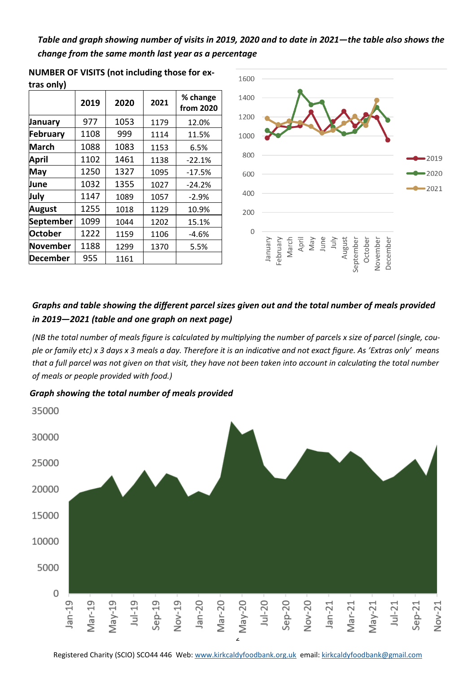*Table and graph showing number of visits in 2019, 2020 and to date in 2021—the table also shows the change from the same month last year as a percentage* 

| u as villy)    |      |      |      |                       |  |  |  |  |  |  |
|----------------|------|------|------|-----------------------|--|--|--|--|--|--|
|                | 2019 | 2020 | 2021 | % change<br>from 2020 |  |  |  |  |  |  |
| January        | 977  | 1053 | 1179 | 12.0%                 |  |  |  |  |  |  |
| February       | 1108 | 999  | 1114 | 11.5%                 |  |  |  |  |  |  |
| <b>March</b>   | 1088 | 1083 | 1153 | 6.5%                  |  |  |  |  |  |  |
| April          | 1102 | 1461 | 1138 | $-22.1%$              |  |  |  |  |  |  |
| May            | 1250 | 1327 | 1095 | $-17.5%$              |  |  |  |  |  |  |
| June           | 1032 | 1355 | 1027 | $-24.2%$              |  |  |  |  |  |  |
| July           | 1147 | 1089 | 1057 | $-2.9%$               |  |  |  |  |  |  |
| August         | 1255 | 1018 | 1129 | 10.9%                 |  |  |  |  |  |  |
| September      | 1099 | 1044 | 1202 | 15.1%                 |  |  |  |  |  |  |
| <b>October</b> | 1222 | 1159 | 1106 | $-4.6%$               |  |  |  |  |  |  |
| November       | 1188 | 1299 | 1370 | 5.5%                  |  |  |  |  |  |  |
| December       | 955  | 1161 |      |                       |  |  |  |  |  |  |

**NUMBER OF VISITS (not including those for extras only)**



### *Graphs and table showing the different parcel sizes given out and the total number of meals provided in 2019—2021 (table and one graph on next page)*

*(NB the total number of meals figure is calculated by multiplying the number of parcels x size of parcel (single, couple or family etc) x 3 days x 3 meals a day. Therefore it is an indicative and not exact figure. As 'Extras only' means that a full parcel was not given on that visit, they have not been taken into account in calculating the total number of meals or people provided with food.)* 

*Graph showing the total number of meals provided* 

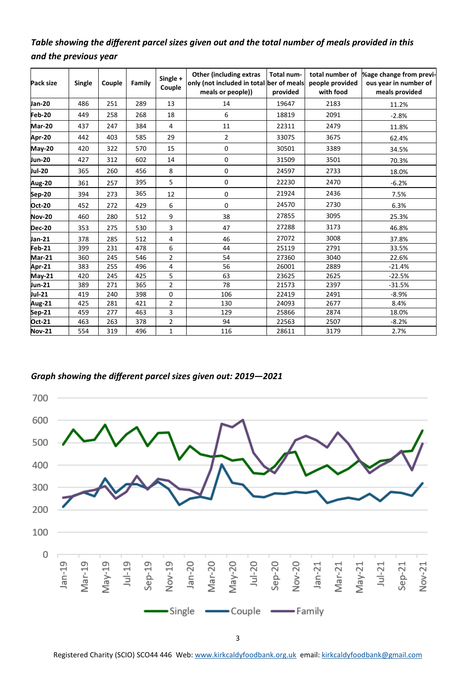## *Table showing the different parcel sizes given out and the total number of meals provided in this and the previous year*

| Pack size     | Single | Couple | Family | Single +<br>Couple | <b>Other (including extras</b><br>only (not included in total ber of meals<br>meals or people)) | Total num-<br>provided | total number of<br>people provided<br>with food | %age change from previ-<br>ous year in number of<br>meals provided |  |  |
|---------------|--------|--------|--------|--------------------|-------------------------------------------------------------------------------------------------|------------------------|-------------------------------------------------|--------------------------------------------------------------------|--|--|
| Jan-20        | 486    | 251    | 289    | 13                 | 14                                                                                              | 19647                  | 2183                                            | 11.2%                                                              |  |  |
| Feb-20        | 449    | 258    | 268    | 18                 | 6                                                                                               | 18819                  | 2091                                            | $-2.8%$                                                            |  |  |
| <b>Mar-20</b> | 437    | 247    | 384    | 4                  | 11                                                                                              | 22311                  | 2479                                            | 11.8%                                                              |  |  |
| Apr-20        | 442    | 403    | 585    | 29                 | 2                                                                                               | 33075                  | 3675                                            | 62.4%                                                              |  |  |
| $May-20$      | 420    | 322    | 570    | 15                 | 0                                                                                               | 30501                  | 3389                                            | 34.5%                                                              |  |  |
| <b>Jun-20</b> | 427    | 312    | 602    | 14                 | 0                                                                                               | 31509                  | 3501                                            | 70.3%                                                              |  |  |
| Jul-20        | 365    | 260    | 456    | 8                  | 0                                                                                               | 24597                  | 2733                                            | 18.0%                                                              |  |  |
| Aug-20        | 361    | 257    | 395    | 5                  | 0                                                                                               | 22230<br>2470          |                                                 | $-6.2%$                                                            |  |  |
| Sep-20        | 394    | 273    | 365    | 12                 | 0                                                                                               | 21924                  | 2436                                            | 7.5%                                                               |  |  |
| <b>Oct-20</b> | 452    | 272    | 429    | 6                  | 0                                                                                               | 24570                  | 2730                                            | 6.3%                                                               |  |  |
| <b>Nov-20</b> | 460    | 280    | 512    | 9                  | 38                                                                                              | 27855                  | 3095                                            | 25.3%                                                              |  |  |
| <b>Dec-20</b> | 353    | 275    | 530    | 3                  | 47                                                                                              | 27288                  | 3173                                            | 46.8%                                                              |  |  |
| Jan-21        | 378    | 285    | 512    | 4                  | 46                                                                                              | 27072                  | 3008                                            | 37.8%                                                              |  |  |
| Feb-21        | 399    | 231    | 478    | 6                  | 44                                                                                              | 25119                  | 2791                                            | 33.5%                                                              |  |  |
| <b>Mar-21</b> | 360    | 245    | 546    | $\overline{2}$     | 54                                                                                              | 27360                  | 3040                                            | 22.6%                                                              |  |  |
| Apr-21        | 383    | 255    | 496    | 4                  | 56                                                                                              | 26001                  | 2889                                            | $-21.4%$                                                           |  |  |
| <b>May-21</b> | 420    | 245    | 425    | 5                  | 63                                                                                              | 23625                  | 2625                                            | $-22.5%$                                                           |  |  |
| Jun-21        | 389    | 271    | 365    | $\overline{2}$     | 78                                                                                              | 21573                  | 2397                                            | $-31.5%$                                                           |  |  |
| Jul-21        | 419    | 240    | 398    | $\mathbf 0$        | 106                                                                                             | 22419                  | 2491                                            | $-8.9%$                                                            |  |  |
| <b>Aug-21</b> | 425    | 281    | 421    | $\overline{2}$     | 130                                                                                             | 24093                  | 2677                                            | 8.4%                                                               |  |  |
| Sep-21        | 459    | 277    | 463    | 3                  | 129                                                                                             | 25866                  | 2874                                            | 18.0%                                                              |  |  |
| Oct-21        | 463    | 263    | 378    | $\overline{2}$     | 94                                                                                              | 22563                  | 2507                                            | $-8.2%$                                                            |  |  |
| <b>Nov-21</b> | 554    | 319    | 496    | $\mathbf{1}$       | 116                                                                                             | 28611                  | 3179                                            | 2.7%                                                               |  |  |

#### *Graph showing the different parcel sizes given out: 2019—2021*



Registered Charity (SCIO) SCO44 446 Web: [www.kirkcaldyfoodbank.org.uk](http://www.kirkcaldyfoodbank.org.uk) email: [kirkcaldyfoodbank@gmail.com](mailto:mailtokirkcaldyfoodbank@gmail.com)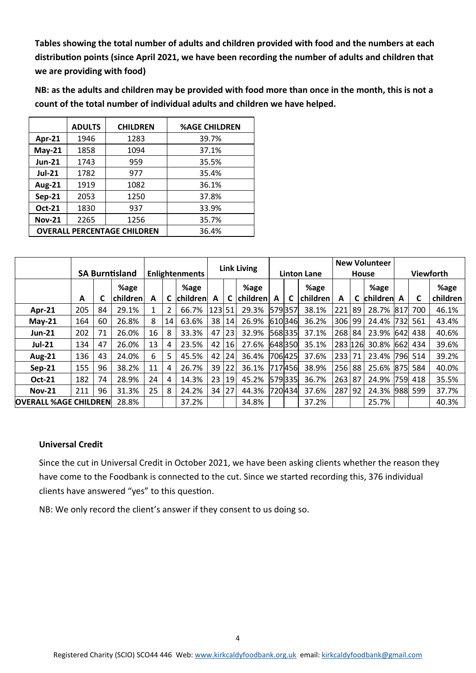**Tables showing the total number of adults and children provided with food and the numbers at each distribution points (since April 2021, we have been recording the number of adults and children that we are providing with food)**

**NB: as the adults and children may be provided with food more than once in the month, this is not a count of the total number of individual adults and children we have helped.** 

|                  | <b>ADULTS</b>                      | <b>CHILDREN</b> | <b>%AGE CHILDREN</b> |
|------------------|------------------------------------|-----------------|----------------------|
| Apr-21           | 1946                               | 1283            | 39.7%                |
| $May-21$         | 1858                               | 1094            | 37.1%                |
| <b>Jun-21</b>    | 1743                               | 959             | 35.5%                |
| <b>Jul-21</b>    | 1782                               | 977             | 35.4%                |
| <b>Aug-21</b>    | 1919                               | 1082            | 36.1%                |
| $Sep-21$<br>2053 |                                    | 1250            | 37.8%                |
| <b>Oct-21</b>    | 1830                               | 937             | 33.9%                |
| <b>Nov-21</b>    | 2265                               | 1256            | 35.7%                |
|                  | <b>OVERALL PERCENTAGE CHILDREN</b> | 36.4%           |                      |

|                              |     |    |                       |                       |    | <b>Link Living</b> |        |    |          | <b>New Volunteer</b> |        |          |         |    |          |                  |     |          |
|------------------------------|-----|----|-----------------------|-----------------------|----|--------------------|--------|----|----------|----------------------|--------|----------|---------|----|----------|------------------|-----|----------|
|                              |     |    | <b>SA Burntisland</b> | <b>Enlightenments</b> |    |                    |        |    |          | <b>Linton Lane</b>   |        |          | House   |    |          | <b>Viewforth</b> |     |          |
|                              |     |    | %age                  |                       |    | %age               |        |    | %age     |                      |        | %age     |         |    | %age     |                  |     | %age     |
|                              | A   | C  | children              | A                     |    | <b>children</b>    | A      |    | children | A                    | C.     | children | A       |    | children | A                | C   | children |
| <b>Apr-21</b>                | 205 | 84 | 29.1%                 | 1                     | 2  | 66.7%              | 123 51 |    | 29.3%    | 579357               |        | 38.1%    | 221     | 89 | 28.7%    | 817              | 700 | 46.1%    |
| $May-21$                     | 164 | 60 | 26.8%                 | 8                     | 14 | 63.6%              | 38     | 14 | 26.9%    |                      | 610346 | 36.2%    | 306     | 99 | 24.4%    | 7321             | 561 | 43.4%    |
| <b>Jun-21</b>                | 202 | 71 | 26.0%                 | 16                    | 8  | 33.3%              | 47     | 23 | 32.9%    |                      | 568335 | 37.1%    | 268     | 84 | 23.9%    | 642              | 438 | 40.6%    |
| <b>Jul-21</b>                | 134 | 47 | 26.0%                 | 13                    | 4  | 23.5%              | 42     | 16 | 27.6%    |                      | 648350 | 35.1%    | 283 126 |    | 30.8%    | 662              | 434 | 39.6%    |
| <b>Aug-21</b>                | 136 | 43 | 24.0%                 | 6                     | 5  | 45.5%              | 42     | 24 | 36.4%    |                      | 706425 | 37.6%    | 233     | 71 | 23.4%    | 796              | 514 | 39.2%    |
| $Sep-21$                     | 155 | 96 | 38.2%                 | 11                    | 4  | 26.7%              | 39     | 22 | 36.1%    |                      | 717456 | 38.9%    | 256     | 88 | 25.6%    | 875              | 584 | 40.0%    |
| <b>Oct-21</b>                | 182 | 74 | 28.9%                 | 24                    | 4  | 14.3%              | 23     | 19 | 45.2%    |                      | 579335 | 36.7%    | 263     | 87 | 24.9%    | 759l             | 418 | 35.5%    |
| <b>Nov-21</b>                | 211 | 96 | 31.3%                 | 25                    | 8  | 24.2%              | 34     | 27 | 44.3%    |                      | 720434 | 37.6%    | 287     | 92 | 24.3%    | 988              | 599 | 37.7%    |
| <b>OVERALL %AGE CHILDREN</b> |     |    | 28.8%                 |                       |    | 37.2%              |        |    | 34.8%    |                      |        | 37.2%    |         |    | 25.7%    |                  |     | 40.3%    |

#### **Universal Credit**

Since the cut in Universal Credit in October 2021, we have been asking clients whether the reason they have come to the Foodbank is connected to the cut. Since we started recording this, 376 individual clients have answered "yes" to this question.

NB: We only record the client's answer if they consent to us doing so.